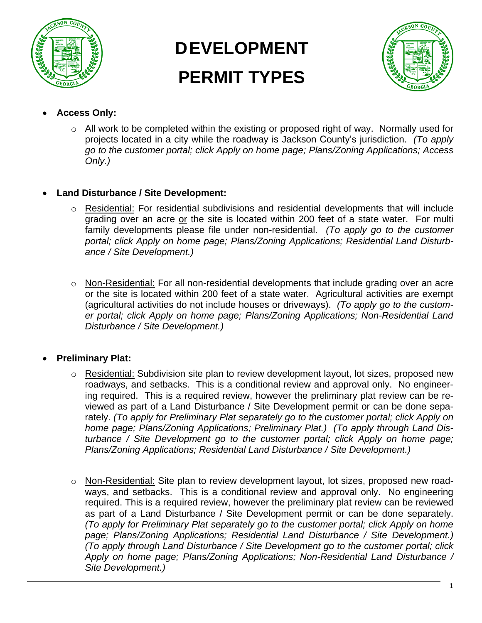

# **DEVELOPMENT PERMIT TYPES**



- **Access Only:** 
	- o All work to be completed within the existing or proposed right of way. Normally used for projects located in a city while the roadway is Jackson County's jurisdiction. *(To apply go to the customer portal; click Apply on home page; Plans/Zoning Applications; Access Only.)*

### • **Land Disturbance / Site Development:**

- o Residential: For residential subdivisions and residential developments that will include grading over an acre or the site is located within 200 feet of a state water. For multi family developments please file under non-residential. *(To apply go to the customer portal; click Apply on home page; Plans/Zoning Applications; Residential Land Disturbance / Site Development.)*
- o Non-Residential: For all non-residential developments that include grading over an acre or the site is located within 200 feet of a state water. Agricultural activities are exempt (agricultural activities do not include houses or driveways). *(To apply go to the customer portal; click Apply on home page; Plans/Zoning Applications; Non-Residential Land Disturbance / Site Development.)*

## • **Preliminary Plat:**

- o Residential: Subdivision site plan to review development layout, lot sizes, proposed new roadways, and setbacks. This is a conditional review and approval only. No engineering required. This is a required review, however the preliminary plat review can be reviewed as part of a Land Disturbance / Site Development permit or can be done separately. *(To apply for Preliminary Plat separately go to the customer portal; click Apply on home page; Plans/Zoning Applications; Preliminary Plat.) (To apply through Land Disturbance / Site Development go to the customer portal; click Apply on home page; Plans/Zoning Applications; Residential Land Disturbance / Site Development.)*
- o Non-Residential: Site plan to review development layout, lot sizes, proposed new roadways, and setbacks. This is a conditional review and approval only. No engineering required. This is a required review, however the preliminary plat review can be reviewed as part of a Land Disturbance / Site Development permit or can be done separately. *(To apply for Preliminary Plat separately go to the customer portal; click Apply on home page; Plans/Zoning Applications; Residential Land Disturbance / Site Development.) (To apply through Land Disturbance / Site Development go to the customer portal; click Apply on home page; Plans/Zoning Applications; Non-Residential Land Disturbance / Site Development.)*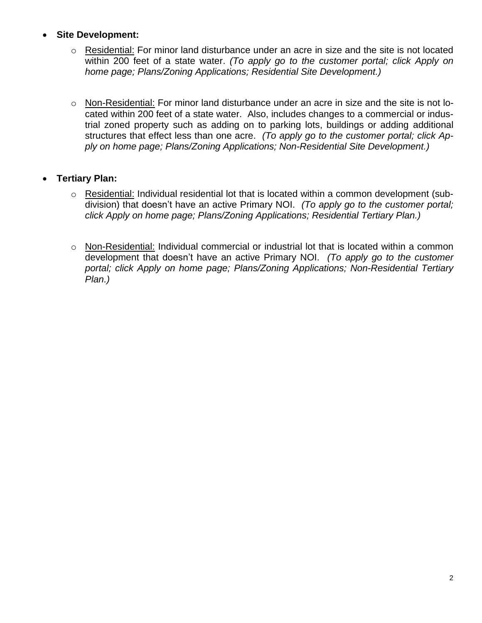#### • **Site Development:**

- o Residential: For minor land disturbance under an acre in size and the site is not located within 200 feet of a state water. *(To apply go to the customer portal; click Apply on home page; Plans/Zoning Applications; Residential Site Development.)*
- o Non-Residential: For minor land disturbance under an acre in size and the site is not located within 200 feet of a state water. Also, includes changes to a commercial or industrial zoned property such as adding on to parking lots, buildings or adding additional structures that effect less than one acre. *(To apply go to the customer portal; click Apply on home page; Plans/Zoning Applications; Non-Residential Site Development.)*

#### • **Tertiary Plan:**

- o Residential: Individual residential lot that is located within a common development (subdivision) that doesn't have an active Primary NOI. *(To apply go to the customer portal; click Apply on home page; Plans/Zoning Applications; Residential Tertiary Plan.)*
- o Non-Residential: Individual commercial or industrial lot that is located within a common development that doesn't have an active Primary NOI. *(To apply go to the customer portal; click Apply on home page; Plans/Zoning Applications; Non-Residential Tertiary Plan.)*